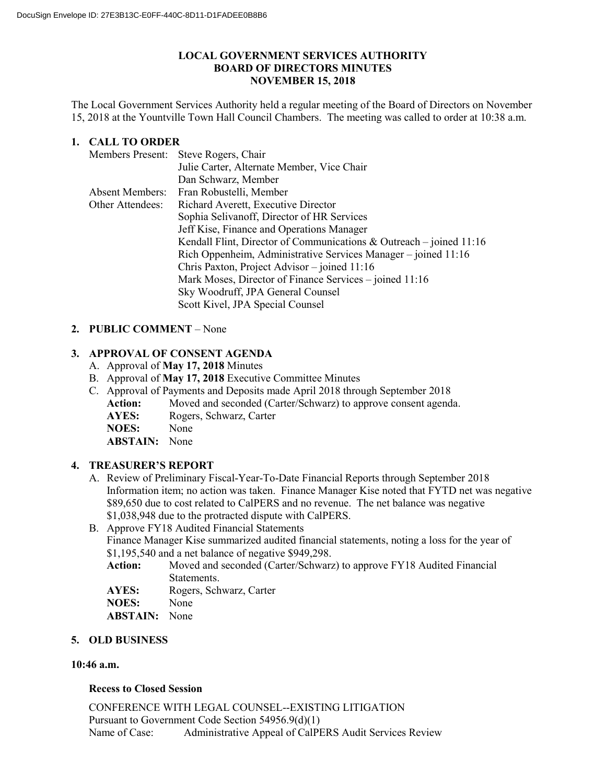### **LOCAL GOVERNMENT SERVICES AUTHORITY BOARD OF DIRECTORS MINUTES NOVEMBER 15, 2018**

The Local Government Services Authority held a regular meeting of the Board of Directors on November 15, 2018 at the Yountville Town Hall Council Chambers. The meeting was called to order at 10:38 a.m.

# **1. CALL TO ORDER**

|                        | Members Present: Steve Rogers, Chair                                  |
|------------------------|-----------------------------------------------------------------------|
|                        | Julie Carter, Alternate Member, Vice Chair                            |
|                        | Dan Schwarz, Member                                                   |
| <b>Absent Members:</b> | Fran Robustelli, Member                                               |
| Other Attendees:       | Richard Averett, Executive Director                                   |
|                        | Sophia Selivanoff, Director of HR Services                            |
|                        | Jeff Kise, Finance and Operations Manager                             |
|                        | Kendall Flint, Director of Communications & Outreach – joined $11:16$ |
|                        | Rich Oppenheim, Administrative Services Manager – joined 11:16        |
|                        | Chris Paxton, Project Advisor – joined 11:16                          |
|                        | Mark Moses, Director of Finance Services – joined 11:16               |
|                        | Sky Woodruff, JPA General Counsel                                     |
|                        | Scott Kivel, JPA Special Counsel                                      |
|                        |                                                                       |

## **2. PUBLIC COMMENT** – None

## **3. APPROVAL OF CONSENT AGENDA**

- A. Approval of **May 17, 2018** Minutes
- B. Approval of **May 17, 2018** Executive Committee Minutes
- C. Approval of Payments and Deposits made April 2018 through September 2018
	- Action: Moved and seconded (Carter/Schwarz) to approve consent agenda.
		- **AYES:** Rogers, Schwarz, Carter
		- **NOES:** None
		- **ABSTAIN:** None

# **4. TREASURER'S REPORT**

- A. Review of Preliminary Fiscal-Year-To-Date Financial Reports through September 2018 Information item; no action was taken. Finance Manager Kise noted that FYTD net was negative \$89,650 due to cost related to CalPERS and no revenue. The net balance was negative \$1,038,948 due to the protracted dispute with CalPERS.
- B. Approve FY18 Audited Financial Statements Finance Manager Kise summarized audited financial statements, noting a loss for the year of \$1,195,540 and a net balance of negative \$949,298.
	- **Action:** Moved and seconded (Carter/Schwarz) to approve FY18 Audited Financial Statements.

**AYES:** Rogers, Schwarz, Carter<br>**NOES:** None

- NOES:
- **ABSTAIN:** None

#### **5. OLD BUSINESS**

#### **10:46 a.m.**

#### **Recess to Closed Session**

CONFERENCE WITH LEGAL COUNSEL--EXISTING LITIGATION Pursuant to Government Code Section 54956.9(d)(1) Name of Case: Administrative Appeal of CalPERS Audit Services Review